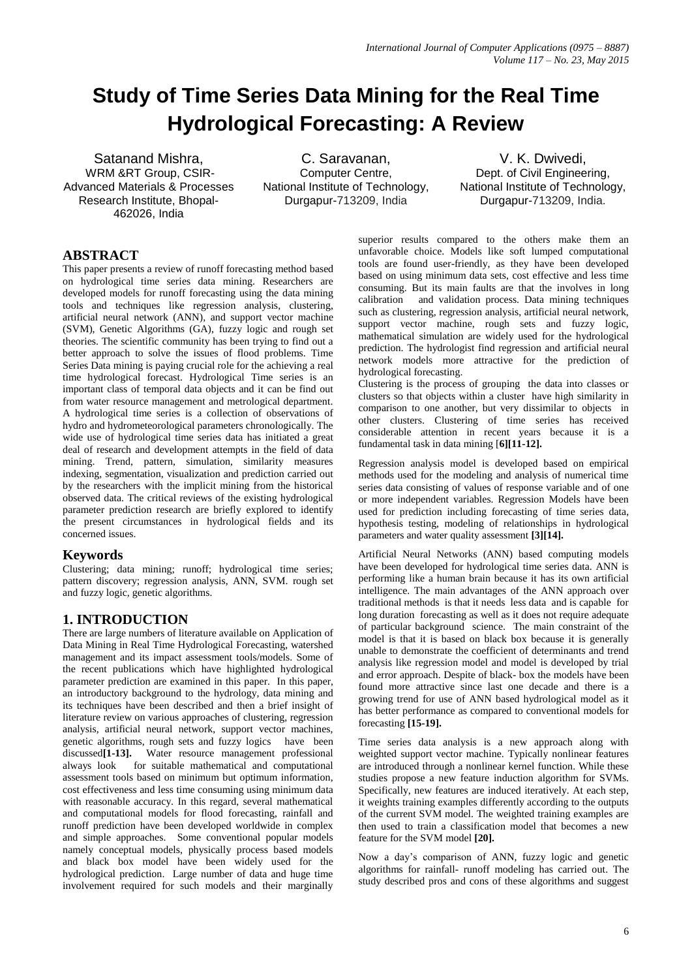# **Study of Time Series Data Mining for the Real Time Hydrological Forecasting: A Review**

Satanand Mishra, WRM &RT Group, CSIR-Advanced Materials & Processes Research Institute, Bhopal-462026, India

C. Saravanan, Computer Centre, National Institute of Technology, Durgapur-713209, India

V. K. Dwivedi, Dept. of Civil Engineering, National Institute of Technology, Durgapur-713209, India.

## **ABSTRACT**

This paper presents a review of runoff forecasting method based on hydrological time series data mining. Researchers are developed models for runoff forecasting using the data mining tools and techniques like regression analysis, clustering, artificial neural network (ANN), and support vector machine (SVM), Genetic Algorithms (GA), fuzzy logic and rough set theories. The scientific community has been trying to find out a better approach to solve the issues of flood problems. Time Series Data mining is paying crucial role for the achieving a real time hydrological forecast. Hydrological Time series is an important class of temporal data objects and it can be find out from water resource management and metrological department. A hydrological time series is a collection of observations of hydro and hydrometeorological parameters chronologically. The wide use of hydrological time series data has initiated a great deal of research and development attempts in the field of data mining. Trend, pattern, simulation, similarity measures indexing, segmentation, visualization and prediction carried out by the researchers with the implicit mining from the historical observed data. The critical reviews of the existing hydrological parameter prediction research are briefly explored to identify the present circumstances in hydrological fields and its concerned issues.

#### **Keywords**

Clustering; data mining; runoff; hydrological time series; pattern discovery; regression analysis, ANN, SVM. rough set and fuzzy logic, genetic algorithms.

#### **1. INTRODUCTION**

There are large numbers of literature available on Application of Data Mining in Real Time Hydrological Forecasting, watershed management and its impact assessment tools/models. Some of the recent publications which have highlighted hydrological parameter prediction are examined in this paper. In this paper, an introductory background to the hydrology, data mining and its techniques have been described and then a brief insight of literature review on various approaches of clustering, regression analysis, artificial neural network, support vector machines, genetic algorithms, rough sets and fuzzy logics have been discussed**[1-13].** Water resource management professional always look for suitable mathematical and computational assessment tools based on minimum but optimum information, cost effectiveness and less time consuming using minimum data with reasonable accuracy. In this regard, several mathematical and computational models for flood forecasting, rainfall and runoff prediction have been developed worldwide in complex and simple approaches. Some conventional popular models namely conceptual models, physically process based models and black box model have been widely used for the hydrological prediction. Large number of data and huge time involvement required for such models and their marginally

superior results compared to the others make them an unfavorable choice. Models like soft lumped computational tools are found user-friendly, as they have been developed based on using minimum data sets, cost effective and less time consuming. But its main faults are that the involves in long calibration and validation process. Data mining techniques such as clustering, regression analysis, artificial neural network, support vector machine, rough sets and fuzzy logic, mathematical simulation are widely used for the hydrological prediction. The hydrologist find regression and artificial neural network models more attractive for the prediction of hydrological forecasting.

Clustering is the process of grouping the data into classes or clusters so that objects within a cluster have high similarity in comparison to one another, but very dissimilar to objects in other clusters. Clustering of time series has received considerable attention in recent years because it is a fundamental task in data mining [**6][11-12].** 

Regression analysis model is developed based on empirical methods used for the modeling and analysis of numerical time series data consisting of values of response variable and of one or more independent variables. Regression Models have been used for prediction including forecasting of time series data, hypothesis testing, modeling of relationships in hydrological parameters and water quality assessment **[3][14].**

Artificial Neural Networks (ANN) based computing models have been developed for hydrological time series data. ANN is performing like a human brain because it has its own artificial intelligence. The main advantages of the ANN approach over traditional methods is that it needs less data and is capable for long duration forecasting as well as it does not require adequate of particular background science. The main constraint of the model is that it is based on black box because it is generally unable to demonstrate the coefficient of determinants and trend analysis like regression model and model is developed by trial and error approach. Despite of black- box the models have been found more attractive since last one decade and there is a growing trend for use of ANN based hydrological model as it has better performance as compared to conventional models for forecasting **[15-19].**

Time series data analysis is a new approach along with weighted support vector machine. Typically nonlinear features are introduced through a nonlinear kernel function. While these studies propose a new feature induction algorithm for SVMs. Specifically, new features are induced iteratively. At each step, it weights training examples differently according to the outputs of the current SVM model. The weighted training examples are then used to train a classification model that becomes a new feature for the SVM model **[20].**

Now a day's comparison of ANN, fuzzy logic and genetic algorithms for rainfall- runoff modeling has carried out. The study described pros and cons of these algorithms and suggest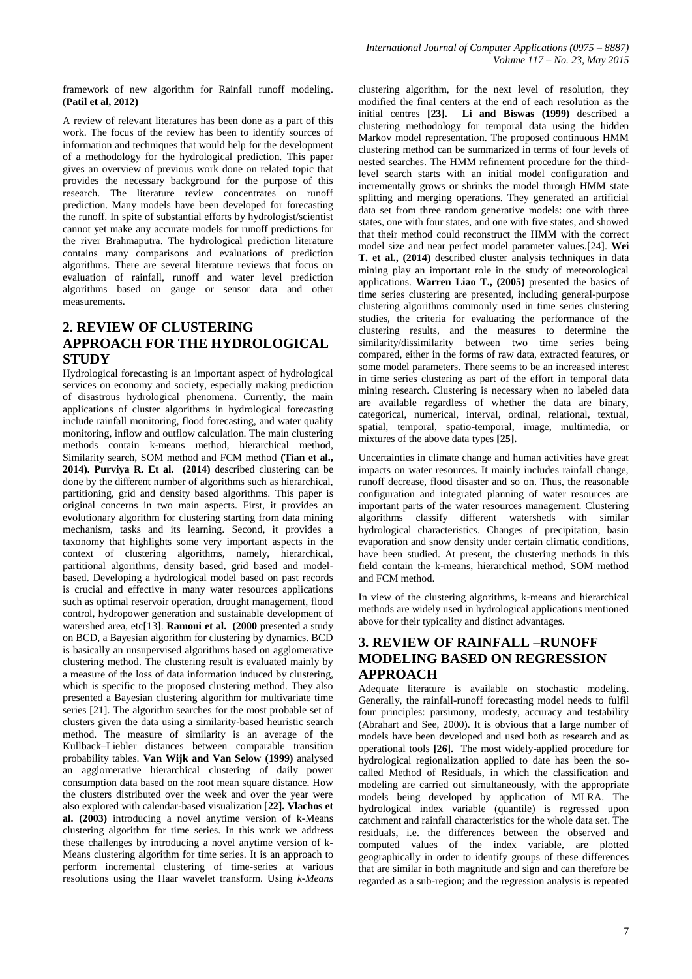framework of new algorithm for Rainfall runoff modeling. (**Patil et al, 2012)**

A review of relevant literatures has been done as a part of this work. The focus of the review has been to identify sources of information and techniques that would help for the development of a methodology for the hydrological prediction. This paper gives an overview of previous work done on related topic that provides the necessary background for the purpose of this research. The literature review concentrates on runoff prediction. Many models have been developed for forecasting the runoff. In spite of substantial efforts by hydrologist/scientist cannot yet make any accurate models for runoff predictions for the river Brahmaputra. The hydrological prediction literature contains many comparisons and evaluations of prediction algorithms. There are several literature reviews that focus on evaluation of rainfall, runoff and water level prediction algorithms based on gauge or sensor data and other measurements.

## **2. REVIEW OF CLUSTERING APPROACH FOR THE HYDROLOGICAL STUDY**

Hydrological forecasting is an important aspect of hydrological services on economy and society, especially making prediction of disastrous hydrological phenomena. Currently, the main applications of cluster algorithms in hydrological forecasting include rainfall monitoring, flood forecasting, and water quality monitoring, inflow and outflow calculation. The main clustering methods contain k-means method, hierarchical method, Similarity search, SOM method and FCM method **(Tian et al., 2014). Purviya R. Et al. (2014)** described clustering can be done by the different number of algorithms such as hierarchical, partitioning, grid and density based algorithms. This paper is original concerns in two main aspects. First, it provides an evolutionary algorithm for clustering starting from data mining mechanism, tasks and its learning. Second, it provides a taxonomy that highlights some very important aspects in the context of clustering algorithms, namely, hierarchical, partitional algorithms, density based, grid based and modelbased. Developing a hydrological model based on past records is crucial and effective in many water resources applications such as optimal reservoir operation, drought management, flood control, hydropower generation and sustainable development of watershed area, etc[13]. **Ramoni et al. (2000** presented a study on BCD, a Bayesian algorithm for clustering by dynamics. BCD is basically an unsupervised algorithms based on agglomerative clustering method. The clustering result is evaluated mainly by a measure of the loss of data information induced by clustering, which is specific to the proposed clustering method. They also presented a Bayesian clustering algorithm for multivariate time series [21]. The algorithm searches for the most probable set of clusters given the data using a similarity-based heuristic search method. The measure of similarity is an average of the Kullback–Liebler distances between comparable transition probability tables. **Van Wijk and Van Selow (1999)** analysed an agglomerative hierarchical clustering of daily power consumption data based on the root mean square distance. How the clusters distributed over the week and over the year were also explored with calendar-based visualization [**22]. Vlachos et al. (2003)** introducing a novel anytime version of k-Means clustering algorithm for time series. In this work we address these challenges by introducing a novel anytime version of k-Means clustering algorithm for time series. It is an approach to perform incremental clustering of time-series at various resolutions using the Haar wavelet transform. Using *k-Means*  clustering algorithm, for the next level of resolution, they modified the final centers at the end of each resolution as the initial centres **[23]. Li and Biswas (1999)** described a clustering methodology for temporal data using the hidden Markov model representation. The proposed continuous HMM clustering method can be summarized in terms of four levels of nested searches. The HMM refinement procedure for the thirdlevel search starts with an initial model configuration and incrementally grows or shrinks the model through HMM state splitting and merging operations. They generated an artificial data set from three random generative models: one with three states, one with four states, and one with five states, and showed that their method could reconstruct the HMM with the correct model size and near perfect model parameter values.[24]. **Wei T. et al., (2014)** described **c**luster analysis techniques in data mining play an important role in the study of meteorological applications. **Warren Liao T., (2005)** presented the basics of time series clustering are presented, including general-purpose clustering algorithms commonly used in time series clustering studies, the criteria for evaluating the performance of the clustering results, and the measures to determine the similarity/dissimilarity between two time series being compared, either in the forms of raw data, extracted features, or some model parameters. There seems to be an increased interest in time series clustering as part of the effort in temporal data mining research. Clustering is necessary when no labeled data are available regardless of whether the data are binary, categorical, numerical, interval, ordinal, relational, textual, spatial, temporal, spatio-temporal, image, multimedia, or mixtures of the above data types **[25].**

Uncertainties in climate change and human activities have great impacts on water resources. It mainly includes rainfall change, runoff decrease, flood disaster and so on. Thus, the reasonable configuration and integrated planning of water resources are important parts of the water resources management. Clustering algorithms classify different watersheds with similar hydrological characteristics. Changes of precipitation, basin evaporation and snow density under certain climatic conditions, have been studied. At present, the clustering methods in this field contain the k-means, hierarchical method, SOM method and FCM method.

In view of the clustering algorithms, k-means and hierarchical methods are widely used in hydrological applications mentioned above for their typicality and distinct advantages.

#### **3. REVIEW OF RAINFALL –RUNOFF MODELING BASED ON REGRESSION APPROACH**

Adequate literature is available on stochastic modeling. Generally, the rainfall-runoff forecasting model needs to fulfil four principles: parsimony, modesty, accuracy and testability (Abrahart and See, 2000). It is obvious that a large number of models have been developed and used both as research and as operational tools **[26].** The most widely-applied procedure for hydrological regionalization applied to date has been the socalled Method of Residuals, in which the classification and modeling are carried out simultaneously, with the appropriate models being developed by application of MLRA. The hydrological index variable (quantile) is regressed upon catchment and rainfall characteristics for the whole data set. The residuals, i.e. the differences between the observed and computed values of the index variable, are plotted geographically in order to identify groups of these differences that are similar in both magnitude and sign and can therefore be regarded as a sub-region; and the regression analysis is repeated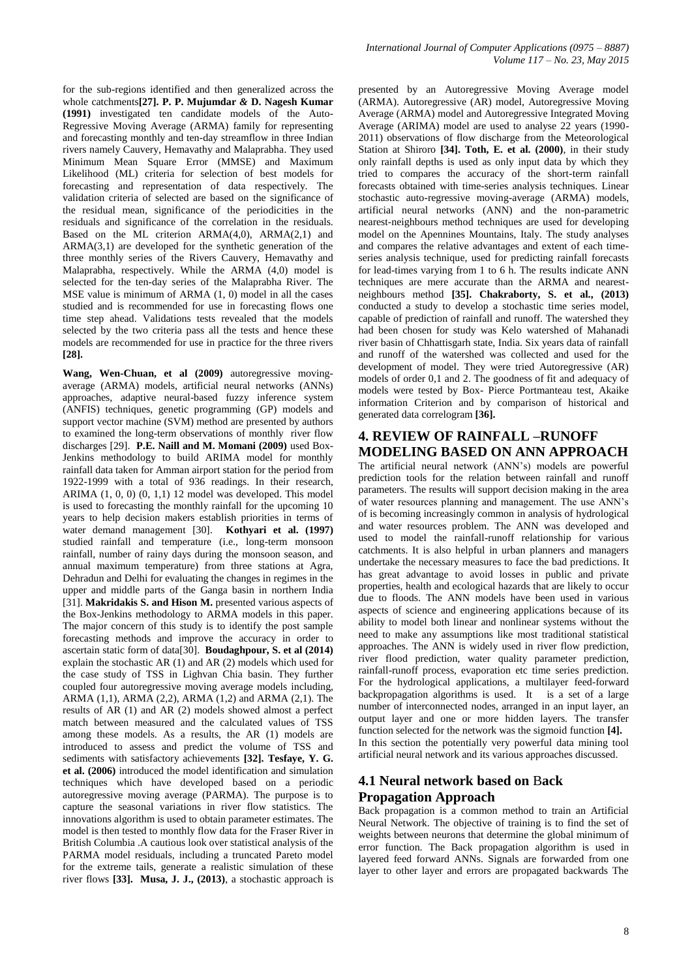for the sub-regions identified and then generalized across the whole catchments**[27]. P. P. Mujumdar** *&* **D. Nagesh Kumar (1991)** investigated ten candidate models of the Auto-Regressive Moving Average (ARMA) family for representing and forecasting monthly and ten-day streamflow in three Indian rivers namely Cauvery, Hemavathy and Malaprabha. They used Minimum Mean Square Error (MMSE) and Maximum Likelihood (ML) criteria for selection of best models for forecasting and representation of data respectively. The validation criteria of selected are based on the significance of the residual mean, significance of the periodicities in the residuals and significance of the correlation in the residuals. Based on the ML criterion ARMA(4,0), ARMA(2,1) and ARMA(3,1) are developed for the synthetic generation of the three monthly series of the Rivers Cauvery, Hemavathy and Malaprabha, respectively. While the ARMA (4,0) model is selected for the ten-day series of the Malaprabha River. The MSE value is minimum of ARMA (1, 0) model in all the cases studied and is recommended for use in forecasting flows one time step ahead. Validations tests revealed that the models selected by the two criteria pass all the tests and hence these models are recommended for use in practice for the three rivers **[28].**

**Wang, Wen-Chuan, et al (2009)** autoregressive movingaverage (ARMA) models, artificial neural networks (ANNs) approaches, adaptive neural-based fuzzy inference system (ANFIS) techniques, genetic programming (GP) models and support vector machine (SVM) method are presented by authors to examined the long-term observations of monthly river flow discharges [29]. **P.E. Naill and M. Momani (2009)** used Box-Jenkins methodology to build ARIMA model for monthly rainfall data taken for Amman airport station for the period from 1922-1999 with a total of 936 readings. In their research, ARIMA (1, 0, 0) (0, 1,1) 12 model was developed. This model is used to forecasting the monthly rainfall for the upcoming 10 years to help decision makers establish priorities in terms of water demand management [30]. **Kothyari et al. (1997)** studied rainfall and temperature (i.e., long-term monsoon rainfall, number of rainy days during the monsoon season, and annual maximum temperature) from three stations at Agra, Dehradun and Delhi for evaluating the changes in regimes in the upper and middle parts of the Ganga basin in northern India [31]. **Makridakis S. and Hison M.** presented various aspects of the Box-Jenkins methodology to ARMA models in this paper. The major concern of this study is to identify the post sample forecasting methods and improve the accuracy in order to ascertain static form of data[30]. **Boudaghpour, S. et al (2014)** explain the stochastic AR (1) and AR (2) models which used for the case study of TSS in Lighvan Chia basin. They further coupled four autoregressive moving average models including, ARMA (1,1), ARMA (2,2), ARMA (1,2) and ARMA (2,1). The results of AR (1) and AR (2) models showed almost a perfect match between measured and the calculated values of TSS among these models. As a results, the AR (1) models are introduced to assess and predict the volume of TSS and sediments with satisfactory achievements **[32]. Tesfaye, Y. G. et al. (2006)** introduced the model identification and simulation techniques which have developed based on a periodic autoregressive moving average (PARMA). The purpose is to capture the seasonal variations in river flow statistics. The innovations algorithm is used to obtain parameter estimates. The model is then tested to monthly flow data for the Fraser River in British Columbia .A cautious look over statistical analysis of the PARMA model residuals, including a truncated Pareto model for the extreme tails, generate a realistic simulation of these river flows **[33]. Musa, J. J., (2013)**, a stochastic approach is presented by an Autoregressive Moving Average model (ARMA). Autoregressive (AR) model, Autoregressive Moving Average (ARMA) model and Autoregressive Integrated Moving Average (ARIMA) model are used to analyse 22 years (1990- 2011) observations of flow discharge from the Meteorological Station at Shiroro **[34]. Toth, E. et al. (2000)**, in their study only rainfall depths is used as only input data by which they tried to compares the accuracy of the short-term rainfall forecasts obtained with time-series analysis techniques. Linear stochastic auto-regressive moving-average (ARMA) models, artificial neural networks (ANN) and the non-parametric nearest-neighbours method techniques are used for developing model on the Apennines Mountains, Italy. The study analyses and compares the relative advantages and extent of each timeseries analysis technique, used for predicting rainfall forecasts for lead-times varying from 1 to 6 h. The results indicate ANN techniques are mere accurate than the ARMA and nearestneighbours method **[35]. Chakraborty, S. et al., (2013)** conducted a study to develop a stochastic time series model, capable of prediction of rainfall and runoff. The watershed they had been chosen for study was Kelo watershed of Mahanadi river basin of Chhattisgarh state, India. Six years data of rainfall and runoff of the watershed was collected and used for the development of model. They were tried Autoregressive (AR) models of order 0,1 and 2. The goodness of fit and adequacy of models were tested by Box- Pierce Portmanteau test, Akaike information Criterion and by comparison of historical and generated data correlogram **[36].**

# **4. REVIEW OF RAINFALL –RUNOFF MODELING BASED ON ANN APPROACH**

The artificial neural network (ANN's) models are powerful prediction tools for the relation between rainfall and runoff parameters. The results will support decision making in the area of water resources planning and management. The use ANN's of is becoming increasingly common in analysis of hydrological and water resources problem. The ANN was developed and used to model the rainfall-runoff relationship for various catchments. It is also helpful in urban planners and managers undertake the necessary measures to face the bad predictions. It has great advantage to avoid losses in public and private properties, health and ecological hazards that are likely to occur due to floods. The ANN models have been used in various aspects of science and engineering applications because of its ability to model both linear and nonlinear systems without the need to make any assumptions like most traditional statistical approaches. The ANN is widely used in river flow prediction, river flood prediction, water quality parameter prediction, rainfall-runoff process, evaporation etc time series prediction. For the hydrological applications, a multilayer feed-forward backpropagation algorithms is used. It is a set of a large number of interconnected nodes, arranged in an input layer, an output layer and one or more hidden layers. The transfer function selected for the network was the sigmoid function **[4].** In this section the potentially very powerful data mining tool artificial neural network and its various approaches discussed.

# **4.1 Neural network based on** B**ack Propagation Approach**

Back propagation is a common method to train an Artificial Neural Network. The objective of training is to find the set of weights between neurons that determine the global minimum of error function. The Back propagation algorithm is used in layered feed forward ANNs. Signals are forwarded from one layer to other layer and errors are propagated backwards The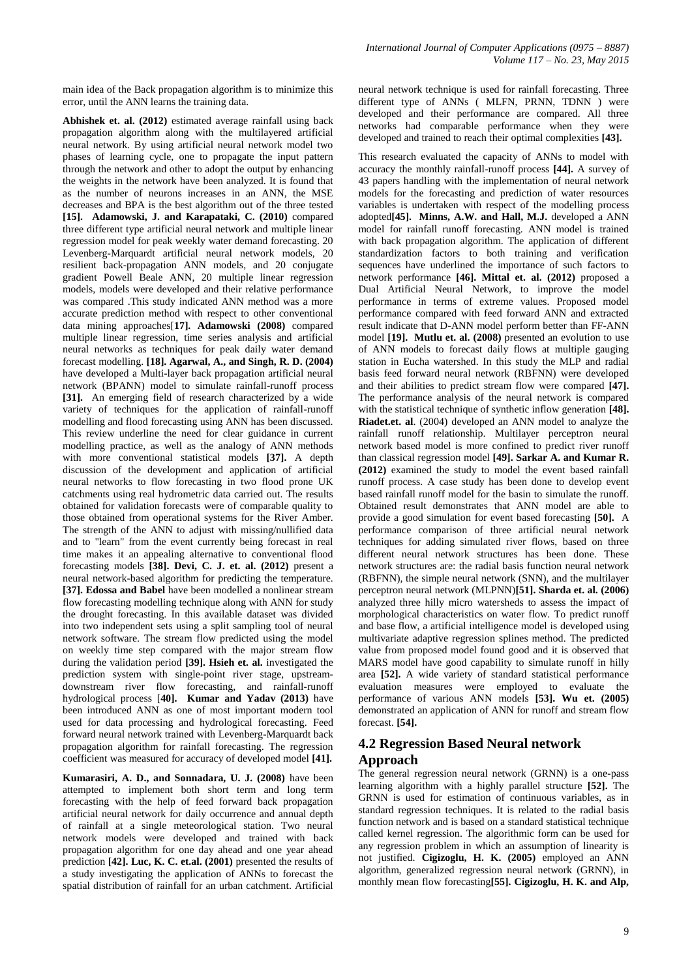main idea of the Back propagation algorithm is to minimize this error, until the ANN learns the training data.

**Abhishek et. al. (2012)** estimated average rainfall using back propagation algorithm along with the multilayered artificial neural network. By using artificial neural network model two phases of learning cycle, one to propagate the input pattern through the network and other to adopt the output by enhancing the weights in the network have been analyzed. It is found that as the number of neurons increases in an ANN, the MSE decreases and BPA is the best algorithm out of the three tested **[15]. Adamowski, J. and Karapataki, C. (2010)** compared three different type artificial neural network and multiple linear regression model for peak weekly water demand forecasting. 20 Levenberg-Marquardt artificial neural network models, 20 resilient back-propagation ANN models, and 20 conjugate gradient Powell Beale ANN, 20 multiple linear regression models, models were developed and their relative performance was compared .This study indicated ANN method was a more accurate prediction method with respect to other conventional data mining approaches[**17]. Adamowski (2008)** compared multiple linear regression, time series analysis and artificial neural networks as techniques for peak daily water demand forecast modelling. **[18]. Agarwal, A., and Singh, R. D. (2004)**  have developed a Multi-layer back propagation artificial neural network (BPANN) model to simulate rainfall-runoff process **[31].** An emerging field of research characterized by a wide variety of techniques for the application of rainfall-runoff modelling and flood forecasting using ANN has been discussed. This review underline the need for clear guidance in current modelling practice, as well as the analogy of ANN methods with more conventional statistical models **[37].** A depth discussion of the development and application of artificial neural networks to flow forecasting in two flood prone UK catchments using real hydrometric data carried out. The results obtained for validation forecasts were of comparable quality to those obtained from operational systems for the River Amber. The strength of the ANN to adjust with missing/nullified data and to "learn" from the event currently being forecast in real time makes it an appealing alternative to conventional flood forecasting models **[38]. Devi, C. J. et. al. (2012)** present a neural network-based algorithm for predicting the temperature. **[37]. Edossa and Babel** have been modelled a nonlinear stream flow forecasting modelling technique along with ANN for study the drought forecasting. In this available dataset was divided into two independent sets using a split sampling tool of neural network software. The stream flow predicted using the model on weekly time step compared with the major stream flow during the validation period **[39]. Hsieh et. al.** investigated the prediction system with single-point river stage, upstreamdownstream river flow forecasting, and rainfall-runoff hydrological process [**40]. Kumar and Yadav (2013)** have been introduced ANN as one of most important modern tool used for data processing and hydrological forecasting. Feed forward neural network trained with Levenberg-Marquardt back propagation algorithm for rainfall forecasting. The regression coefficient was measured for accuracy of developed model **[41].**

**Kumarasiri, A. D., and Sonnadara, U. J. (2008)** have been attempted to implement both short term and long term forecasting with the help of feed forward back propagation artificial neural network for daily occurrence and annual depth of rainfall at a single meteorological station. Two neural network models were developed and trained with back propagation algorithm for one day ahead and one year ahead prediction **[42]. Luc, K. C. et.al. (2001)** presented the results of a study investigating the application of ANNs to forecast the spatial distribution of rainfall for an urban catchment. Artificial neural network technique is used for rainfall forecasting. Three different type of ANNs ( MLFN, PRNN, TDNN ) were developed and their performance are compared. All three networks had comparable performance when they were developed and trained to reach their optimal complexities **[43].**

This research evaluated the capacity of ANNs to model with accuracy the monthly rainfall-runoff process **[44].** A survey of 43 papers handling with the implementation of neural network models for the forecasting and prediction of water resources variables is undertaken with respect of the modelling process adopted**[45]. Minns, A.W. and Hall, M.J.** developed a ANN model for rainfall runoff forecasting. ANN model is trained with back propagation algorithm. The application of different standardization factors to both training and verification sequences have underlined the importance of such factors to network performance **[46]. Mittal et. al. (2012)** proposed a Dual Artificial Neural Network, to improve the model performance in terms of extreme values. Proposed model performance compared with feed forward ANN and extracted result indicate that D-ANN model perform better than FF-ANN model [19]. **Mutlu et. al.** (2008) presented an evolution to use of ANN models to forecast daily flows at multiple gauging station in Eucha watershed. In this study the MLP and radial basis feed forward neural network (RBFNN) were developed and their abilities to predict stream flow were compared **[47].** The performance analysis of the neural network is compared with the statistical technique of synthetic inflow generation **[48]. Riadet.et. al**. (2004) developed an ANN model to analyze the rainfall runoff relationship. Multilayer perceptron neural network based model is more confined to predict river runoff than classical regression model **[49]. Sarkar A. and Kumar R. (2012)** examined the study to model the event based rainfall runoff process. A case study has been done to develop event based rainfall runoff model for the basin to simulate the runoff. Obtained result demonstrates that ANN model are able to provide a good simulation for event based forecasting **[50].** A performance comparison of three artificial neural network techniques for adding simulated river flows, based on three different neural network structures has been done. These network structures are: the radial basis function neural network (RBFNN), the simple neural network (SNN), and the multilayer perceptron neural network (MLPNN)**[51]. Sharda et. al. (2006)**  analyzed three hilly micro watersheds to assess the impact of morphological characteristics on water flow. To predict runoff and base flow, a artificial intelligence model is developed using multivariate adaptive regression splines method. The predicted value from proposed model found good and it is observed that MARS model have good capability to simulate runoff in hilly area **[52].** A wide variety of standard statistical performance evaluation measures were employed to evaluate the performance of various ANN models **[53]. Wu et. (2005)**  demonstrated an application of ANN for runoff and stream flow forecast. **[54].**

#### **4.2 Regression Based Neural network Approach**

The general regression neural network (GRNN) is a one-pass learning algorithm with a highly parallel structure **[52].** The GRNN is used for estimation of continuous variables, as in standard regression techniques. It is related to the radial basis function network and is based on a standard statistical technique called kernel regression. The algorithmic form can be used for any regression problem in which an assumption of linearity is not justified. **Cigizoglu, H. K. (2005)** employed an ANN algorithm, generalized regression neural network (GRNN), in monthly mean flow forecasting**[55]. Cigizoglu, H. K. and Alp,**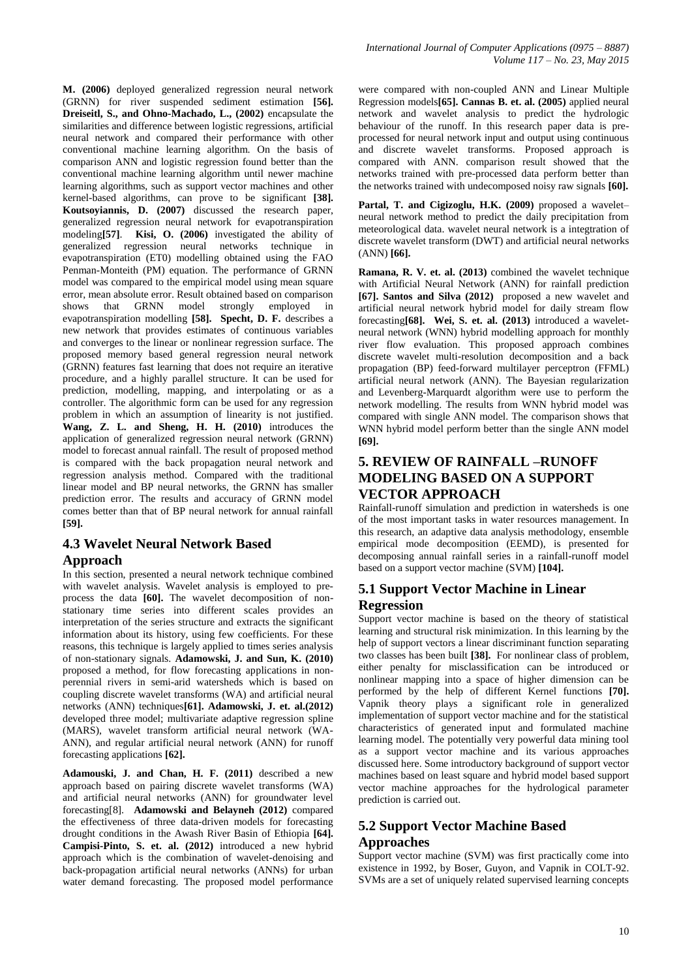**M. (2006)** deployed generalized regression neural network (GRNN) for river suspended sediment estimation **[56]. Dreiseitl, S., and Ohno-Machado, L., (2002)** encapsulate the similarities and difference between logistic regressions, artificial neural network and compared their performance with other conventional machine learning algorithm. On the basis of comparison ANN and logistic regression found better than the conventional machine learning algorithm until newer machine learning algorithms, such as support vector machines and other kernel-based algorithms, can prove to be significant **[38]. Koutsoyiannis, D. (2007)** discussed the research paper, generalized regression neural network for evapotranspiration modeling**[57]**. **Kisi, O. (2006)** investigated the ability of generalized regression neural networks technique in evapotranspiration (ET0) modelling obtained using the FAO Penman-Monteith (PM) equation. The performance of GRNN model was compared to the empirical model using mean square error, mean absolute error. Result obtained based on comparison shows that GRNN model strongly employed in evapotranspiration modelling **[58]. Specht, D. F.** describes a new network that provides estimates of continuous variables and converges to the linear or nonlinear regression surface. The proposed memory based general regression neural network (GRNN) features fast learning that does not require an iterative procedure, and a highly parallel structure. It can be used for prediction, modelling, mapping, and interpolating or as a controller. The algorithmic form can be used for any regression problem in which an assumption of linearity is not justified. **Wang, Z. L. and Sheng, H. H. (2010)** introduces the application of generalized regression neural network (GRNN) model to forecast annual rainfall. The result of proposed method is compared with the back propagation neural network and regression analysis method. Compared with the traditional linear model and BP neural networks, the GRNN has smaller prediction error. The results and accuracy of GRNN model comes better than that of BP neural network for annual rainfall **[59].**

#### **4.3 Wavelet Neural Network Based Approach**

In this section, presented a neural network technique combined with wavelet analysis. Wavelet analysis is employed to preprocess the data **[60].** The wavelet decomposition of nonstationary time series into different scales provides an interpretation of the series structure and extracts the significant information about its history, using few coefficients. For these reasons, this technique is largely applied to times series analysis of non-stationary signals. **Adamowski, J. and Sun, K. (2010)**  proposed a method, for flow forecasting applications in nonperennial rivers in semi-arid watersheds which is based on coupling discrete wavelet transforms (WA) and artificial neural networks (ANN) techniques**[61]. Adamowski, J. et. al.(2012)**  developed three model; multivariate adaptive regression spline (MARS), wavelet transform artificial neural network (WA-ANN), and regular artificial neural network (ANN) for runoff forecasting applications **[62].** 

**Adamouski, J. and Chan, H. F. (2011)** described a new approach based on pairing discrete wavelet transforms (WA) and artificial neural networks (ANN) for groundwater level forecasting[8]. **Adamowski and Belayneh (2012)** compared the effectiveness of three data-driven models for forecasting drought conditions in the Awash River Basin of Ethiopia **[64]. Campisi-Pinto, S. et. al. (2012)** introduced a new hybrid approach which is the combination of wavelet-denoising and back-propagation artificial neural networks (ANNs) for urban water demand forecasting. The proposed model performance were compared with non-coupled ANN and Linear Multiple Regression models**[65]. Cannas B. et. al. (2005)** applied neural network and wavelet analysis to predict the hydrologic behaviour of the runoff. In this research paper data is preprocessed for neural network input and output using continuous and discrete wavelet transforms. Proposed approach is compared with ANN. comparison result showed that the networks trained with pre-processed data perform better than the networks trained with undecomposed noisy raw signals **[60].** 

**Partal, T. and Cigizoglu, H.K. (2009)** proposed a wavelet– neural network method to predict the daily precipitation from meteorological data. wavelet neural network is a integtration of discrete wavelet transform (DWT) and artificial neural networks (ANN) **[66].**

**Ramana, R. V. et. al. (2013)** combined the wavelet technique with Artificial Neural Network (ANN) for rainfall prediction **[67]. Santos and Silva (2012)** proposed a new wavelet and artificial neural network hybrid model for daily stream flow forecasting**[68]. Wei, S. et. al. (2013)** introduced a waveletneural network (WNN) hybrid modelling approach for monthly river flow evaluation. This proposed approach combines discrete wavelet multi-resolution decomposition and a back propagation (BP) feed-forward multilayer perceptron (FFML) artificial neural network (ANN). The Bayesian regularization and Levenberg-Marquardt algorithm were use to perform the network modelling. The results from WNN hybrid model was compared with single ANN model. The comparison shows that WNN hybrid model perform better than the single ANN model **[69].**

## **5. REVIEW OF RAINFALL –RUNOFF MODELING BASED ON A SUPPORT VECTOR APPROACH**

Rainfall-runoff simulation and prediction in watersheds is one of the most important tasks in water resources management. In this research, an adaptive data analysis methodology, ensemble empirical mode decomposition (EEMD), is presented for decomposing annual rainfall series in a rainfall-runoff model based on a support vector machine (SVM) **[104].**

## **5.1 Support Vector Machine in Linear Regression**

Support vector machine is based on the theory of statistical learning and structural risk minimization. In this learning by the help of support vectors a linear discriminant function separating two classes has been built **[38].** For nonlinear class of problem, either penalty for misclassification can be introduced or nonlinear mapping into a space of higher dimension can be performed by the help of different Kernel functions **[70].** Vapnik theory plays a significant role in generalized implementation of support vector machine and for the statistical characteristics of generated input and formulated machine learning model. The potentially very powerful data mining tool as a support vector machine and its various approaches discussed here. Some introductory background of support vector machines based on least square and hybrid model based support vector machine approaches for the hydrological parameter prediction is carried out.

# **5.2 Support Vector Machine Based Approaches**

Support vector machine (SVM) was first practically come into existence in 1992, by Boser, Guyon, and Vapnik in COLT-92. SVMs are a set of uniquely related supervised learning concepts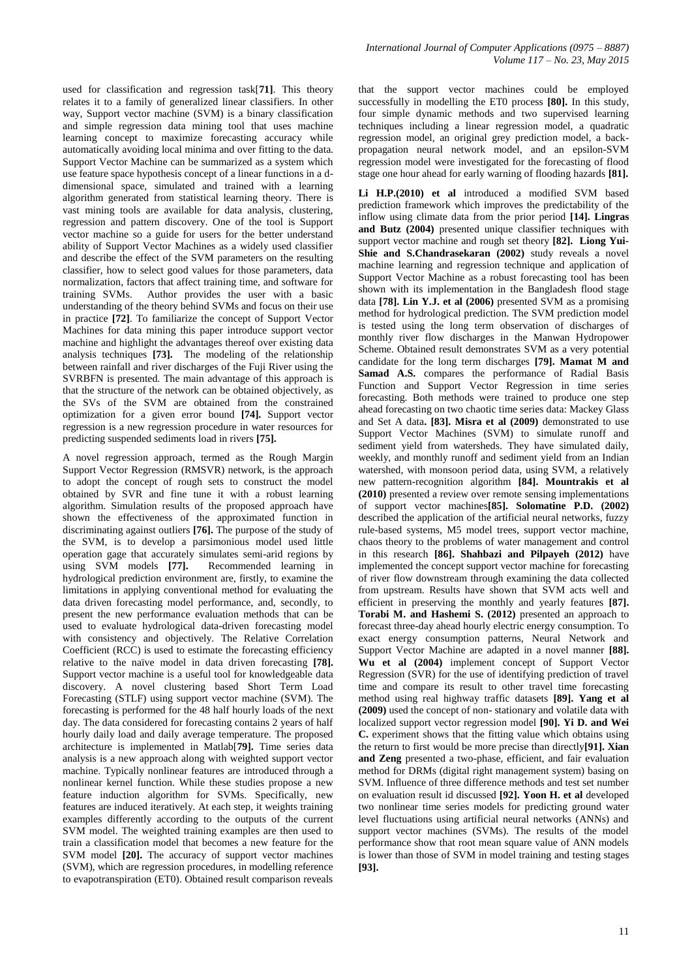used for classification and regression task[**71]**. This theory relates it to a family of generalized linear classifiers. In other way, Support vector machine (SVM) is a binary classification and simple regression data mining tool that uses machine learning concept to maximize forecasting accuracy while automatically avoiding local minima and over fitting to the data. Support Vector Machine can be summarized as a system which use feature space hypothesis concept of a linear functions in a ddimensional space, simulated and trained with a learning algorithm generated from statistical learning theory. There is vast mining tools are available for data analysis, clustering, regression and pattern discovery. One of the tool is Support vector machine so a guide for users for the better understand ability of Support Vector Machines as a widely used classifier and describe the effect of the SVM parameters on the resulting classifier, how to select good values for those parameters, data normalization, factors that affect training time, and software for training SVMs. Author provides the user with a basic understanding of the theory behind SVMs and focus on their use in practice **[72]**. To familiarize the concept of Support Vector Machines for data mining this paper introduce support vector machine and highlight the advantages thereof over existing data analysis techniques **[73].** The modeling of the relationship between rainfall and river discharges of the Fuji River using the SVRBFN is presented. The main advantage of this approach is that the structure of the network can be obtained objectively, as the SVs of the SVM are obtained from the constrained optimization for a given error bound **[74].** Support vector regression is a new regression procedure in water resources for predicting suspended sediments load in rivers **[75].**

A novel regression approach, termed as the Rough Margin Support Vector Regression (RMSVR) network, is the approach to adopt the concept of rough sets to construct the model obtained by SVR and fine tune it with a robust learning algorithm. Simulation results of the proposed approach have shown the effectiveness of the approximated function in discriminating against outliers **[76].** The purpose of the study of the SVM, is to develop a parsimonious model used little operation gage that accurately simulates semi-arid regions by using SVM models **[77].** Recommended learning in hydrological prediction environment are, firstly, to examine the limitations in applying conventional method for evaluating the data driven forecasting model performance, and, secondly, to present the new performance evaluation methods that can be used to evaluate hydrological data-driven forecasting model with consistency and objectively. The Relative Correlation Coefficient (RCC) is used to estimate the forecasting efficiency relative to the naïve model in data driven forecasting **[78].** Support vector machine is a useful tool for knowledgeable data discovery. A novel clustering based Short Term Load Forecasting (STLF) using support vector machine (SVM). The forecasting is performed for the 48 half hourly loads of the next day. The data considered for forecasting contains 2 years of half hourly daily load and daily average temperature. The proposed architecture is implemented in Matlab[**79].** Time series data analysis is a new approach along with weighted support vector machine. Typically nonlinear features are introduced through a nonlinear kernel function. While these studies propose a new feature induction algorithm for SVMs. Specifically, new features are induced iteratively. At each step, it weights training examples differently according to the outputs of the current SVM model. The weighted training examples are then used to train a classification model that becomes a new feature for the SVM model **[20].** The accuracy of support vector machines (SVM), which are regression procedures, in modelling reference to evapotranspiration (ET0). Obtained result comparison reveals that the support vector machines could be employed successfully in modelling the ET0 process **[80].** In this study, four simple dynamic methods and two supervised learning techniques including a linear regression model, a quadratic regression model, an original grey prediction model, a backpropagation neural network model, and an epsilon-SVM regression model were investigated for the forecasting of flood stage one hour ahead for early warning of flooding hazards **[81].**

**Li H.P.(2010) et al** introduced a modified SVM based prediction framework which improves the predictability of the inflow using climate data from the prior period **[14]. Lingras and Butz (2004)** presented unique classifier techniques with support vector machine and rough set theory **[82]. Liong Yui-Shie and S.Chandrasekaran (2002)** study reveals a novel machine learning and regression technique and application of Support Vector Machine as a robust forecasting tool has been shown with its implementation in the Bangladesh flood stage data **[78]. Lin Y.J. et al (2006)** presented SVM as a promising method for hydrological prediction. The SVM prediction model is tested using the long term observation of discharges of monthly river flow discharges in the Manwan Hydropower Scheme. Obtained result demonstrates SVM as a very potential candidate for the long term discharges **[79]. Mamat M and Samad A.S.** compares the performance of Radial Basis Function and Support Vector Regression in time series forecasting. Both methods were trained to produce one step ahead forecasting on two chaotic time series data: Mackey Glass and Set A data**. [83]. Misra et al (2009)** demonstrated to use Support Vector Machines (SVM) to simulate runoff and sediment yield from watersheds. They have simulated daily, weekly, and monthly runoff and sediment yield from an Indian watershed, with monsoon period data, using SVM, a relatively new pattern-recognition algorithm **[84]. Mountrakis et al (2010)** presented a review over remote sensing implementations of support vector machines**[85]. Solomatine P.D. (2002)** described the application of the artificial neural networks, fuzzy rule-based systems, M5 model trees, support vector machine, chaos theory to the problems of water management and control in this research **[86]. Shahbazi and Pilpayeh (2012)** have implemented the concept support vector machine for forecasting of river flow downstream through examining the data collected from upstream. Results have shown that SVM acts well and efficient in preserving the monthly and yearly features **[87]. Torabi M. and Hashemi S. (2012)** presented an approach to forecast three-day ahead hourly electric energy consumption. To exact energy consumption patterns, Neural Network and Support Vector Machine are adapted in a novel manner **[88]. Wu et al (2004)** implement concept of Support Vector Regression (SVR) for the use of identifying prediction of travel time and compare its result to other travel time forecasting method using real highway traffic datasets **[89]. Yang et al (2009)** used the concept of non- stationary and volatile data with localized support vector regression model **[90]. Yi D. and Wei C.** experiment shows that the fitting value which obtains using the return to first would be more precise than directly**[91]. Xian and Zeng** presented a two-phase, efficient, and fair evaluation method for DRMs (digital right management system) basing on SVM. Influence of three difference methods and test set number on evaluation result id discussed **[92]. Yoon H. et al** developed two nonlinear time series models for predicting ground water level fluctuations using artificial neural networks (ANNs) and support vector machines (SVMs). The results of the model performance show that root mean square value of ANN models is lower than those of SVM in model training and testing stages **[93].**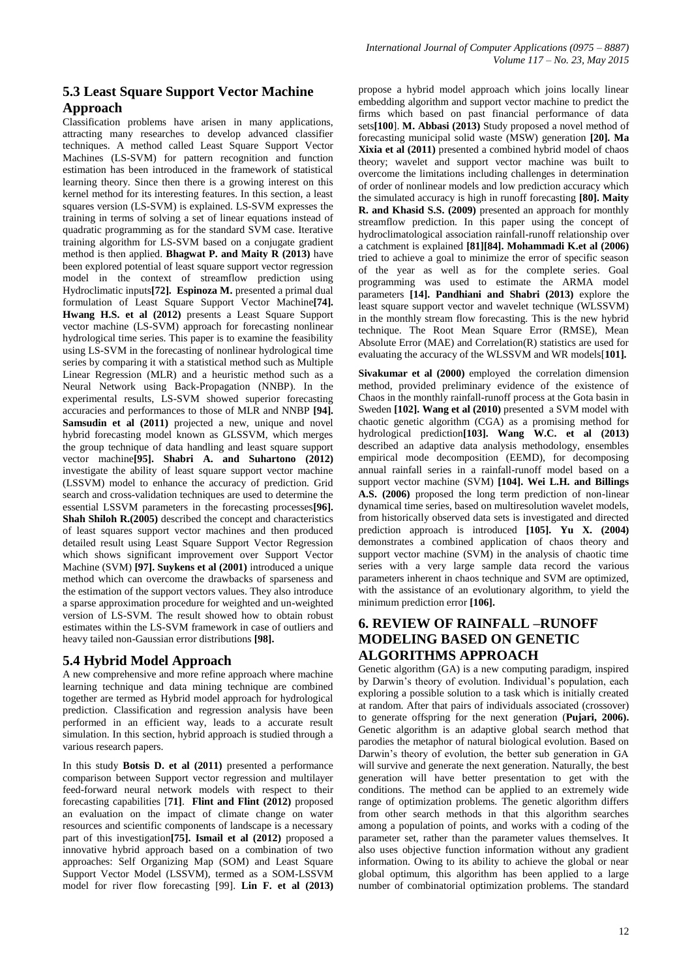#### **5.3 Least Square Support Vector Machine Approach**

Classification problems have arisen in many applications, attracting many researches to develop advanced classifier techniques. A method called Least Square Support Vector Machines (LS-SVM) for pattern recognition and function estimation has been introduced in the framework of statistical learning theory. Since then there is a growing interest on this kernel method for its interesting features. In this section, a least squares version (LS-SVM) is explained. LS-SVM expresses the training in terms of solving a set of linear equations instead of quadratic programming as for the standard SVM case. Iterative training algorithm for LS-SVM based on a conjugate gradient method is then applied. **Bhagwat P. and Maity R (2013)** have been explored potential of least square support vector regression model in the context of streamflow prediction using Hydroclimatic inputs**[72]. Espinoza M.** presented a primal dual formulation of Least Square Support Vector Machine**[74]. Hwang H.S. et al (2012)** presents a Least Square Support vector machine (LS-SVM) approach for forecasting nonlinear hydrological time series. This paper is to examine the feasibility using LS-SVM in the forecasting of nonlinear hydrological time series by comparing it with a statistical method such as Multiple Linear Regression (MLR) and a heuristic method such as a Neural Network using Back-Propagation (NNBP). In the experimental results, LS-SVM showed superior forecasting accuracies and performances to those of MLR and NNBP **[94].** Samsudin et al (2011) projected a new, unique and novel hybrid forecasting model known as GLSSVM, which merges the group technique of data handling and least square support vector machine**[95]. Shabri A. and Suhartono (2012)** investigate the ability of least square support vector machine (LSSVM) model to enhance the accuracy of prediction. Grid search and cross-validation techniques are used to determine the essential LSSVM parameters in the forecasting processes**[96]. Shah Shiloh R.(2005)** described the concept and characteristics of least squares support vector machines and then produced detailed result using Least Square Support Vector Regression which shows significant improvement over Support Vector Machine (SVM) **[97]. Suykens et al (2001)** introduced a unique method which can overcome the drawbacks of sparseness and the estimation of the support vectors values. They also introduce a sparse approximation procedure for weighted and un-weighted version of LS-SVM. The result showed how to obtain robust estimates within the LS-SVM framework in case of outliers and heavy tailed non-Gaussian error distributions **[98].**

#### **5.4 Hybrid Model Approach**

A new comprehensive and more refine approach where machine learning technique and data mining technique are combined together are termed as Hybrid model approach for hydrological prediction. Classification and regression analysis have been performed in an efficient way, leads to a accurate result simulation. In this section, hybrid approach is studied through a various research papers.

In this study **Botsis D. et al (2011)** presented a performance comparison between Support vector regression and multilayer feed-forward neural network models with respect to their forecasting capabilities [**71]**. **Flint and Flint (2012)** proposed an evaluation on the impact of climate change on water resources and scientific components of landscape is a necessary part of this investigation**[75]. Ismail et al (2012)** proposed a innovative hybrid approach based on a combination of two approaches: Self Organizing Map (SOM) and Least Square Support Vector Model (LSSVM), termed as a SOM-LSSVM model for river flow forecasting [99]. **Lin F. et al (2013)** propose a hybrid model approach which joins locally linear embedding algorithm and support vector machine to predict the firms which based on past financial performance of data sets**[100**]. **M. Abbasi (2013)** Study proposed a novel method of forecasting municipal solid waste (MSW) generation **[20]. Ma Xixia et al (2011)** presented a combined hybrid model of chaos theory; wavelet and support vector machine was built to overcome the limitations including challenges in determination of order of nonlinear models and low prediction accuracy which the simulated accuracy is high in runoff forecasting **[80]. Maity R. and Khasid S.S. (2009)** presented an approach for monthly streamflow prediction. In this paper using the concept of hydroclimatological association rainfall-runoff relationship over a catchment is explained **[81][84]. Mohammadi K.et al (2006)** tried to achieve a goal to minimize the error of specific season of the year as well as for the complete series. Goal programming was used to estimate the ARMA model parameters **[14]. Pandhiani and Shabri (2013)** explore the least square support vector and wavelet technique (WLSSVM) in the monthly stream flow forecasting. This is the new hybrid technique. The Root Mean Square Error (RMSE), Mean Absolute Error (MAE) and Correlation(R) statistics are used for evaluating the accuracy of the WLSSVM and WR models[**101].**

**Sivakumar et al (2000)** employed the correlation dimension method, provided preliminary evidence of the existence of Chaos in the monthly rainfall-runoff process at the Gota basin in Sweden **[102]. Wang et al (2010)** presented a SVM model with chaotic genetic algorithm (CGA) as a promising method for hydrological prediction**[103]. Wang W.C. et al (2013)** described an adaptive data analysis methodology, ensembles empirical mode decomposition (EEMD), for decomposing annual rainfall series in a rainfall-runoff model based on a support vector machine (SVM) **[104]. Wei L.H. and Billings A.S. (2006)** proposed the long term prediction of non-linear dynamical time series, based on multiresolution wavelet models, from historically observed data sets is investigated and directed prediction approach is introduced **[105]. Yu X. (2004)** demonstrates a combined application of chaos theory and support vector machine (SVM) in the analysis of chaotic time series with a very large sample data record the various parameters inherent in chaos technique and SVM are optimized, with the assistance of an evolutionary algorithm, to yield the minimum prediction error **[106].**

## **6. REVIEW OF RAINFALL –RUNOFF MODELING BASED ON GENETIC ALGORITHMS APPROACH**

Genetic algorithm (GA) is a new computing paradigm, inspired by Darwin's theory of evolution. Individual's population, each exploring a possible solution to a task which is initially created at random. After that pairs of individuals associated (crossover) to generate offspring for the next generation (**Pujari, 2006).** Genetic algorithm is an adaptive global search method that parodies the metaphor of natural biological evolution. Based on Darwin's theory of evolution, the better sub generation in GA will survive and generate the next generation. Naturally, the best generation will have better presentation to get with the conditions. The method can be applied to an extremely wide range of optimization problems. The genetic algorithm differs from other search methods in that this algorithm searches among a population of points, and works with a coding of the parameter set, rather than the parameter values themselves. It also uses objective function information without any gradient information. Owing to its ability to achieve the global or near global optimum, this algorithm has been applied to a large number of combinatorial optimization problems. The standard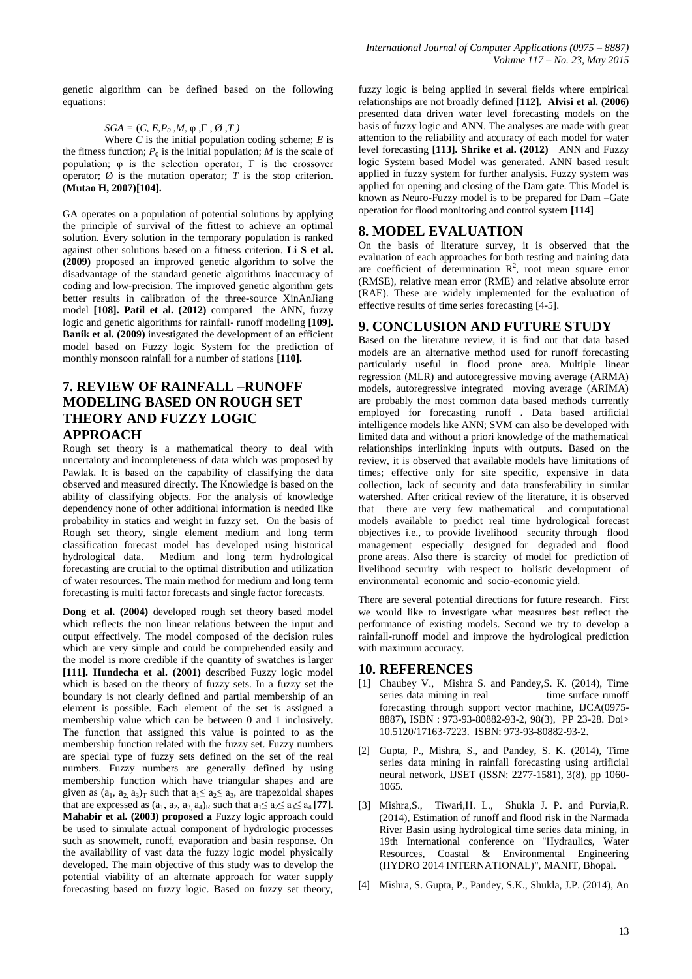genetic algorithm can be defined based on the following equations:

#### $SGA = (C, E, P_0, M, \varphi, \Gamma, \emptyset, T)$

Where  $C$  is the initial population coding scheme;  $E$  is the fitness function;  $P_0$  is the initial population; *M* is the scale of population;  $\varphi$  is the selection operator;  $\Gamma$  is the crossover operator;  $\emptyset$  is the mutation operator; T is the stop criterion. (**Mutao H, 2007)[104].**

GA operates on a population of potential solutions by applying the principle of survival of the fittest to achieve an optimal solution. Every solution in the temporary population is ranked against other solutions based on a fitness criterion. **Li S et al. (2009)** proposed an improved genetic algorithm to solve the disadvantage of the standard genetic algorithms inaccuracy of coding and low-precision. The improved genetic algorithm gets better results in calibration of the three-source XinAnJiang model **[108]. Patil et al. (2012)** compared the ANN, fuzzy logic and genetic algorithms for rainfall- runoff modeling **[109]. Banik et al. (2009)** investigated the development of an efficient model based on Fuzzy logic System for the prediction of monthly monsoon rainfall for a number of stations **[110].** 

#### **7. REVIEW OF RAINFALL –RUNOFF MODELING BASED ON ROUGH SET THEORY AND FUZZY LOGIC APPROACH**

Rough set theory is a mathematical theory to deal with uncertainty and incompleteness of data which was proposed by Pawlak. It is based on the capability of classifying the data observed and measured directly. The Knowledge is based on the ability of classifying objects. For the analysis of knowledge dependency none of other additional information is needed like probability in statics and weight in fuzzy set. On the basis of Rough set theory, single element medium and long term classification forecast model has developed using historical hydrological data. Medium and long term hydrological forecasting are crucial to the optimal distribution and utilization of water resources. The main method for medium and long term forecasting is multi factor forecasts and single factor forecasts.

**Dong et al. (2004)** developed rough set theory based model which reflects the non linear relations between the input and output effectively. The model composed of the decision rules which are very simple and could be comprehended easily and the model is more credible if the quantity of swatches is larger **[111]. Hundecha et al. (2001)** described Fuzzy logic model which is based on the theory of fuzzy sets. In a fuzzy set the boundary is not clearly defined and partial membership of an element is possible. Each element of the set is assigned a membership value which can be between 0 and 1 inclusively. The function that assigned this value is pointed to as the membership function related with the fuzzy set. Fuzzy numbers are special type of fuzzy sets defined on the set of the real numbers. Fuzzy numbers are generally defined by using membership function which have triangular shapes and are given as  $(a_1, a_2, a_3)_T$  such that  $a_1 \le a_2 \le a_3$ , are trapezoidal shapes that are expressed as  $(a_1, a_2, a_3, a_4)_R$  such that  $a_1 \le a_2 \le a_3 \le a_4$  [77]. **Mahabir et al. (2003) proposed a** Fuzzy logic approach could be used to simulate actual component of hydrologic processes such as snowmelt, runoff, evaporation and basin response. On the availability of vast data the fuzzy logic model physically developed. The main objective of this study was to develop the potential viability of an alternate approach for water supply forecasting based on fuzzy logic. Based on fuzzy set theory,

fuzzy logic is being applied in several fields where empirical relationships are not broadly defined [**112]. Alvisi et al. (2006)**  presented data driven water level forecasting models on the basis of fuzzy logic and ANN. The analyses are made with great attention to the reliability and accuracy of each model for water level forecasting **[113]. Shrike et al. (2012)** ANN and Fuzzy logic System based Model was generated. ANN based result applied in fuzzy system for further analysis. Fuzzy system was applied for opening and closing of the Dam gate. This Model is known as Neuro-Fuzzy model is to be prepared for Dam –Gate operation for flood monitoring and control system **[114]**

#### **8. MODEL EVALUATION**

On the basis of literature survey, it is observed that the evaluation of each approaches for both testing and training data are coefficient of determination  $R^2$ , root mean square error (RMSE), relative mean error (RME) and relative absolute error (RAE). These are widely implemented for the evaluation of effective results of time series forecasting [4-5].

#### **9. CONCLUSION AND FUTURE STUDY**

Based on the literature review, it is find out that data based models are an alternative method used for runoff forecasting particularly useful in flood prone area. Multiple linear regression (MLR) and autoregressive moving average (ARMA) models, autoregressive integrated moving average (ARIMA) are probably the most common data based methods currently employed for forecasting runoff . Data based artificial intelligence models like ANN; SVM can also be developed with limited data and without a priori knowledge of the mathematical relationships interlinking inputs with outputs. Based on the review, it is observed that available models have limitations of times; effective only for site specific, expensive in data collection, lack of security and data transferability in similar watershed. After critical review of the literature, it is observed that there are very few mathematical and computational models available to predict real time hydrological forecast objectives i.e., to provide livelihood security through flood management especially designed for degraded and flood prone areas. Also there is scarcity of model for prediction of livelihood security with respect to holistic development of environmental economic and socio-economic yield.

There are several potential directions for future research. First we would like to investigate what measures best reflect the performance of existing models. Second we try to develop a rainfall-runoff model and improve the hydrological prediction with maximum accuracy.

#### **10. REFERENCES**

- [1] Chaubey V., Mishra S. and Pandey, S. K. (2014), Time series data mining in real time surface runoff forecasting through support vector machine, IJCA(0975- 8887), ISBN : 973-93-80882-93-2, 98(3), PP 23-28. Doi> 10.5120/17163-7223. ISBN: 973-93-80882-93-2.
- [2] Gupta, P., Mishra, S., and Pandey, S. K. (2014), Time series data mining in rainfall forecasting using artificial neural network, IJSET (ISSN: 2277-1581), 3(8), pp 1060- 1065.
- [3] Mishra,S., Tiwari,H. L., Shukla J. P. and Purvia,R. (2014), Estimation of runoff and flood risk in the Narmada River Basin using hydrological time series data mining, in 19th International conference on "Hydraulics, Water Resources, Coastal & Environmental Engineering (HYDRO 2014 INTERNATIONAL)", MANIT, Bhopal.
- [4] Mishra, S. Gupta, P., Pandey, S.K., Shukla, J.P. (2014), An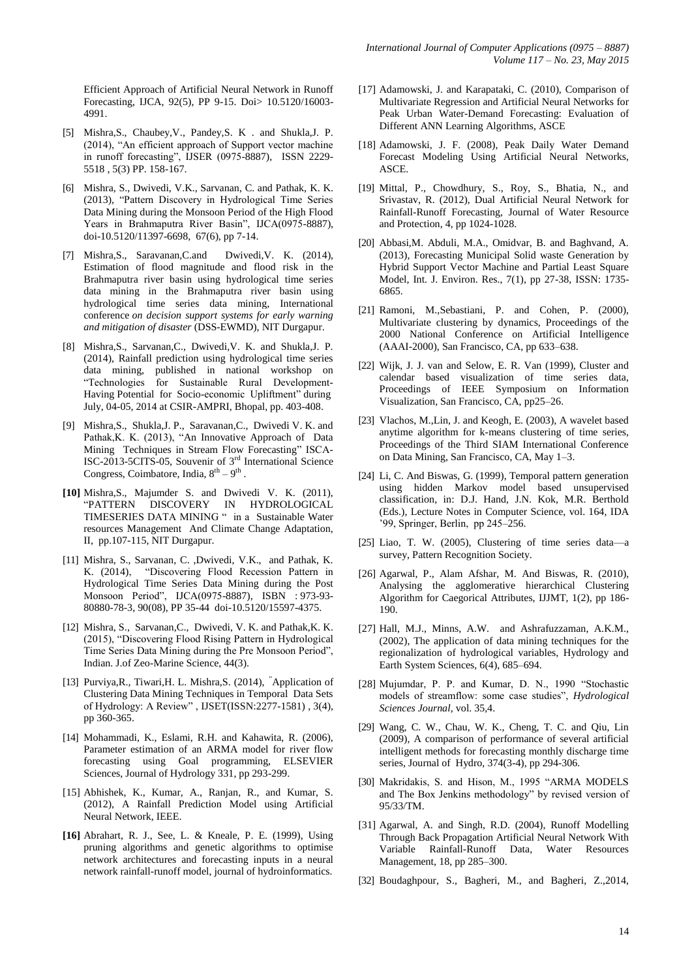Efficient Approach of Artificial Neural Network in Runoff Forecasting, IJCA, 92(5), PP 9-15. Doi> 10.5120/16003- 4991.

- [5] Mishra,S., Chaubey,V., Pandey,S. K . and Shukla,J. P. (2014), "An efficient approach of Support vector machine in runoff forecasting", IJSER (0975-8887), ISSN 2229-5518 , 5(3) PP. 158-167.
- [6] Mishra, S., Dwivedi, V.K., Sarvanan, C. and Pathak, K. K. (2013), "Pattern Discovery in Hydrological Time Series Data Mining during the Monsoon Period of the High Flood Years in Brahmaputra River Basin", IJCA(0975-8887), doi-10.5120/11397-6698, 67(6), pp 7-14.
- [7] Mishra,S., Saravanan,C.and Dwivedi,V. K. (2014), Estimation of flood magnitude and flood risk in the Brahmaputra river basin using hydrological time series data mining in the Brahmaputra river basin using hydrological time series data mining, International conference *on decision support systems for early warning and mitigation of disaster* (DSS-EWMD), NIT Durgapur.
- [8] Mishra,S., Sarvanan,C., Dwivedi,V. K. and Shukla,J. P. (2014), Rainfall prediction using hydrological time series data mining, published in national workshop on ―Technologies for Sustainable Rural Development-Having Potential for Socio-economic Upliftment" during July, 04-05, 2014 at CSIR-AMPRI, Bhopal, pp. 403-408.
- [9] Mishra,S., Shukla,J. P., Saravanan,C., Dwivedi V. K. and Pathak, K. K. (2013), "An Innovative Approach of Data Mining Techniques in Stream Flow Forecasting" ISCA-ISC-2013-5CITS-05, Souvenir of 3rd International Science Congress, Coimbatore, India,  $8^{\text{th}} - 9^{\text{th}}$ .
- **[10]** Mishra,S., Majumder S. and Dwivedi V. K. (2011), ―PATTERN DISCOVERY IN HYDROLOGICAL TIMESERIES DATA MINING " in a Sustainable Water resources Management And Climate Change Adaptation, II, pp.107-115, NIT Durgapur.
- [11] Mishra, S., Sarvanan, C. ,Dwivedi, V.K., and Pathak, K. K. (2014), "Discovering Flood Recession Pattern in Hydrological Time Series Data Mining during the Post Monsoon Period", IJCA(0975-8887), ISBN : 973-93-80880-78-3, 90(08), PP 35-44 doi-10.5120/15597-4375.
- [12] Mishra, S., Sarvanan,C., Dwivedi, V. K. and Pathak,K. K. (2015), "Discovering Flood Rising Pattern in Hydrological Time Series Data Mining during the Pre Monsoon Period", Indian. J.of Zeo-Marine Science, 44(3).
- [13] Purviya, R., Tiwari, H. L. Mishra, S. (2014), <sup>"</sup>Application of Clustering Data Mining Techniques in Temporal Data Sets of Hydrology: A Review", IJSET(ISSN:2277-1581), 3(4), pp 360-365.
- [14] Mohammadi, K., Eslami, R.H. and Kahawita, R. (2006), Parameter estimation of an ARMA model for river flow forecasting using Goal programming, ELSEVIER Sciences, Journal of Hydrology 331, pp 293-299.
- [15] Abhishek, K., Kumar, A., Ranjan, R., and Kumar, S. (2012), A Rainfall Prediction Model using Artificial Neural Network, IEEE.
- **[16]** Abrahart, R. J., See, L. & Kneale, P. E. (1999), Using pruning algorithms and genetic algorithms to optimise network architectures and forecasting inputs in a neural network rainfall-runoff model, journal of hydroinformatics.
- [17] Adamowski, J. and Karapataki, C. (2010), Comparison of Multivariate Regression and Artificial Neural Networks for Peak Urban Water-Demand Forecasting: Evaluation of Different ANN Learning Algorithms, ASCE
- [18] Adamowski, J. F. (2008), Peak Daily Water Demand Forecast Modeling Using Artificial Neural Networks, ASCE.
- [19] Mittal, P., Chowdhury, S., Roy, S., Bhatia, N., and Srivastav, R. (2012), Dual Artificial Neural Network for Rainfall-Runoff Forecasting, Journal of Water Resource and Protection, 4, pp 1024-1028.
- [20] Abbasi,M. Abduli, M.A., Omidvar, B. and Baghvand, A. (2013), Forecasting Municipal Solid waste Generation by Hybrid Support Vector Machine and Partial Least Square Model, Int. J. Environ. Res., 7(1), pp 27-38, ISSN: 1735- 6865.
- [21] Ramoni, M.,Sebastiani, P. and Cohen, P. (2000), Multivariate clustering by dynamics, Proceedings of the 2000 National Conference on Artificial Intelligence (AAAI-2000), San Francisco, CA, pp 633–638.
- [22] Wijk, J. J. van and Selow, E. R. Van (1999), Cluster and calendar based visualization of time series data, Proceedings of IEEE Symposium on Information Visualization, San Francisco, CA, pp25–26.
- [23] Vlachos, M.,Lin, J. and Keogh, E. (2003), A wavelet based anytime algorithm for k-means clustering of time series, Proceedings of the Third SIAM International Conference on Data Mining, San Francisco, CA, May 1–3.
- [24] Li, C. And Biswas, G. (1999), Temporal pattern generation using hidden Markov model based unsupervised classification, in: D.J. Hand, J.N. Kok, M.R. Berthold (Eds.), Lecture Notes in Computer Science, vol. 164, IDA '99, Springer, Berlin, pp 245–256.
- [25] Liao, T. W. (2005), Clustering of time series data—a survey, Pattern Recognition Society.
- [26] Agarwal, P., Alam Afshar, M. And Biswas, R. (2010), Analysing the agglomerative hierarchical Clustering Algorithm for Caegorical Attributes, IJJMT, 1(2), pp 186- 190.
- [27] Hall, M.J., Minns, A.W. and Ashrafuzzaman, A.K.M., (2002), The application of data mining techniques for the regionalization of hydrological variables, Hydrology and Earth System Sciences, 6(4), 685–694.
- [28] Mujumdar, P. P. and Kumar, D. N., 1990 "Stochastic models of streamflow: some case studies", *Hydrological Sciences Journal*, vol. 35,4.
- [29] Wang, C. W., Chau, W. K., Cheng, T. C. and Qiu, Lin (2009), A comparison of performance of several artificial intelligent methods for forecasting monthly discharge time series, Journal of Hydro, 374(3-4), pp 294-306.
- [30] Makridakis, S. and Hison, M., 1995 "ARMA MODELS and The Box Jenkins methodology" by revised version of 95/33/TM.
- [31] Agarwal, A. and Singh, R.D. (2004), Runoff Modelling Through Back Propagation Artificial Neural Network With Variable Rainfall-Runoff Data, Water Resources Management, 18, pp 285–300.
- [32] Boudaghpour, S., Bagheri, M., and Bagheri, Z.,2014,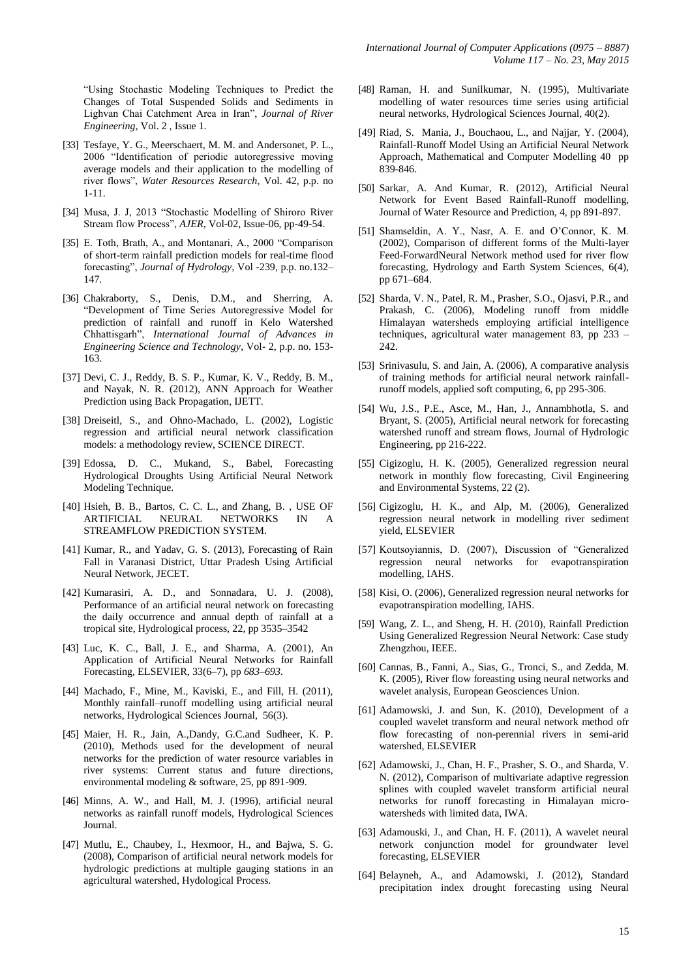―Using Stochastic Modeling Techniques to Predict the Changes of Total Suspended Solids and Sediments in Lighvan Chai Catchment Area in Iran", *Journal of River Engineering*, Vol. 2 , Issue 1.

- [33] Tesfaye, Y. G., Meerschaert, M. M. and Andersonet, P. L., 2006 "Identification of periodic autoregressive moving average models and their application to the modelling of river flows‖, *Water Resources Research*, Vol. 42, p.p. no 1-11.
- [34] Musa, J. J. 2013 "Stochastic Modelling of Shiroro River Stream flow Process", *AJER*, Vol-02, Issue-06, pp-49-54.
- [35] E. Toth, Brath, A., and Montanari, A., 2000 "Comparison of short-term rainfall prediction models for real-time flood forecasting", *Journal of Hydrology*, Vol -239, p.p. no.132– 147.
- [36] Chakraborty, S., Denis, D.M., and Sherring, A. ―Development of Time Series Autoregressive Model for prediction of rainfall and runoff in Kelo Watershed Chhattisgarh‖, *International Journal of Advances in Engineering Science and Technology*, Vol- 2, p.p. no. 153- 163.
- [37] Devi, C. J., Reddy, B. S. P., Kumar, K. V., Reddy, B. M., and Nayak, N. R. (2012), ANN Approach for Weather Prediction using Back Propagation, IJETT.
- [38] Dreiseitl, S., and Ohno-Machado, L. (2002), Logistic regression and artificial neural network classification models: a methodology review, SCIENCE DIRECT.
- [39] Edossa, D. C., Mukand, S., Babel, Forecasting Hydrological Droughts Using Artificial Neural Network Modeling Technique.
- [40] Hsieh, B. B., Bartos, C. C. L., and Zhang, B. , USE OF ARTIFICIAL NEURAL NETWORKS IN STREAMFLOW PREDICTION SYSTEM.
- [41] Kumar, R., and Yadav, G. S. (2013), Forecasting of Rain Fall in Varanasi District, Uttar Pradesh Using Artificial Neural Network, JECET.
- [42] Kumarasiri, A. D., and Sonnadara, U. J. (2008), Performance of an artificial neural network on forecasting the daily occurrence and annual depth of rainfall at a tropical site, Hydrological process, 22, pp 3535–3542
- [43] Luc, K. C., Ball, J. E., and Sharma, A. (2001), An Application of Artificial Neural Networks for Rainfall Forecasting, ELSEVIER, 33(6–7), pp *683–693*.
- [44] Machado, F., Mine, M., Kaviski, E., and Fill, H. (2011), Monthly rainfall–runoff modelling using artificial neural networks, Hydrological Sciences Journal, 56(3).
- [45] Maier, H. R., Jain, A.,Dandy, G.C.and Sudheer, K. P. (2010), Methods used for the development of neural networks for the prediction of water resource variables in river systems: Current status and future directions, environmental modeling & software, 25, pp 891-909.
- [46] Minns, A. W., and Hall, M. J. (1996), artificial neural networks as rainfall runoff models, Hydrological Sciences Journal.
- [47] Mutlu, E., Chaubey, I., Hexmoor, H., and Bajwa, S. G. (2008), Comparison of artificial neural network models for hydrologic predictions at multiple gauging stations in an agricultural watershed, Hydological Process.
- [48] Raman, H. and Sunilkumar, N. (1995), Multivariate modelling of water resources time series using artificial neural networks, Hydrological Sciences Journal, 40(2).
- [49] Riad, S. Mania, J., Bouchaou, L., and Najjar, Y. (2004), Rainfall-Runoff Model Using an Artificial Neural Network Approach, Mathematical and Computer Modelling 40 pp 839-846.
- [50] Sarkar, A. And Kumar, R. (2012), Artificial Neural Network for Event Based Rainfall-Runoff modelling, Journal of Water Resource and Prediction, 4, pp 891-897.
- [51] Shamseldin, A. Y., Nasr, A. E. and O'Connor, K. M. (2002), Comparison of different forms of the Multi-layer Feed-ForwardNeural Network method used for river flow forecasting, Hydrology and Earth System Sciences, 6(4), pp 671–684.
- [52] Sharda, V. N., Patel, R. M., Prasher, S.O., Ojasvi, P.R., and Prakash, C. (2006), Modeling runoff from middle Himalayan watersheds employing artificial intelligence techniques, agricultural water management 83, pp 233 – 242.
- [53] Srinivasulu, S. and Jain, A. (2006), A comparative analysis of training methods for artificial neural network rainfallrunoff models, applied soft computing, 6, pp 295-306.
- [54] Wu, J.S., P.E., Asce, M., Han, J., Annambhotla, S. and Bryant, S. (2005), Artificial neural network for forecasting watershed runoff and stream flows, Journal of Hydrologic Engineering, pp 216-222.
- [55] Cigizoglu, H. K. (2005), Generalized regression neural network in monthly flow forecasting, Civil Engineering and Environmental Systems, 22 (2).
- [56] Cigizoglu, H. K., and Alp, M. (2006), Generalized regression neural network in modelling river sediment yield, ELSEVIER
- [57] Koutsoyiannis, D. (2007), Discussion of "Generalized regression neural networks for evapotranspiration modelling, IAHS.
- [58] Kisi, O. (2006), Generalized regression neural networks for evapotranspiration modelling, IAHS.
- [59] Wang, Z. L., and Sheng, H. H. (2010), Rainfall Prediction Using Generalized Regression Neural Network: Case study Zhengzhou, IEEE.
- [60] Cannas, B., Fanni, A., Sias, G., Tronci, S., and Zedda, M. K. (2005), River flow foreasting using neural networks and wavelet analysis, European Geosciences Union.
- [61] Adamowski, J. and Sun, K. (2010), Development of a coupled wavelet transform and neural network method ofr flow forecasting of non-perennial rivers in semi-arid watershed, ELSEVIER
- [62] Adamowski, J., Chan, H. F., Prasher, S. O., and Sharda, V. N. (2012), Comparison of multivariate adaptive regression splines with coupled wavelet transform artificial neural networks for runoff forecasting in Himalayan microwatersheds with limited data, IWA.
- [63] Adamouski, J., and Chan, H. F. (2011), A wavelet neural network conjunction model for groundwater level forecasting, ELSEVIER
- [64] Belayneh, A., and Adamowski, J. (2012), Standard precipitation index drought forecasting using Neural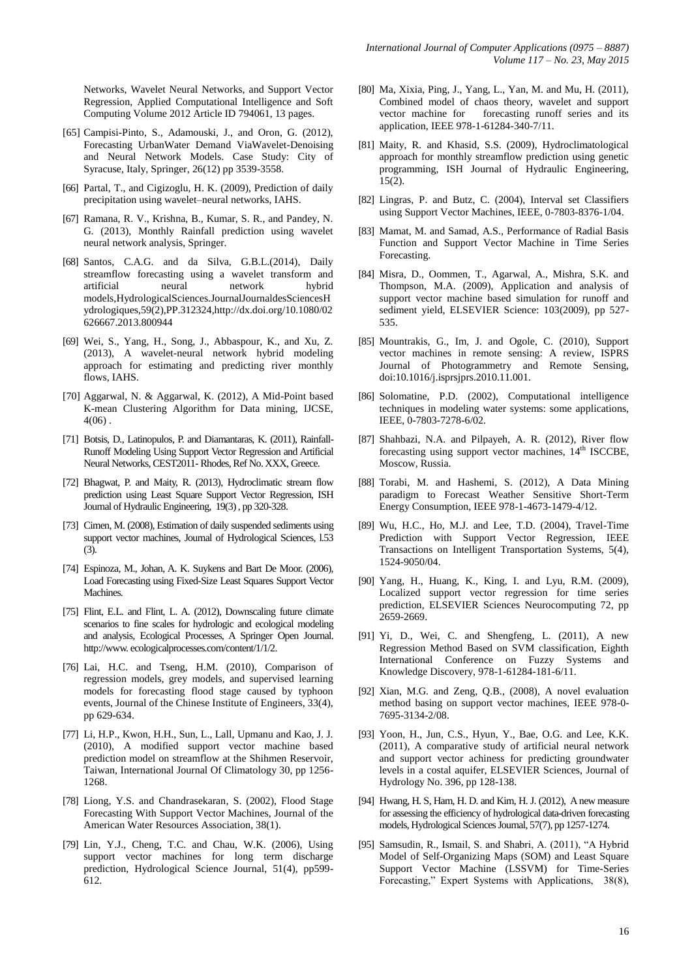Networks, Wavelet Neural Networks, and Support Vector Regression, Applied Computational Intelligence and Soft Computing Volume 2012 Article ID 794061, 13 pages.

- [65] Campisi-Pinto, S., Adamouski, J., and Oron, G. (2012), Forecasting UrbanWater Demand ViaWavelet-Denoising and Neural Network Models. Case Study: City of Syracuse, Italy, Springer, 26(12) pp 3539-3558.
- [66] Partal, T., and Cigizoglu, H. K. (2009), Prediction of daily precipitation using wavelet–neural networks, IAHS.
- [67] Ramana, R. V., Krishna, B., Kumar, S. R., and Pandey, N. G. (2013), Monthly Rainfall prediction using wavelet neural network analysis, Springer.
- [68] Santos, C.A.G. and da Silva, G.B.L.(2014), Daily streamflow forecasting using a wavelet transform and artificial neural network hybrid models,HydrologicalSciences.JournalJournaldesSciencesH ydrologiques,59(2),PP.312324,http://dx.doi.org/10.1080/02 626667.2013.800944
- [69] Wei, S., Yang, H., Song, J., Abbaspour, K., and Xu, Z. (2013), A wavelet-neural network hybrid modeling approach for estimating and predicting river monthly flows, IAHS.
- [70] Aggarwal, N. & Aggarwal, K. (2012), A Mid-Point based K-mean Clustering Algorithm for Data mining, IJCSE, 4(06) .
- [71] Botsis, D., Latinopulos, P. and Diamantaras, K. (2011), Rainfall-Runoff Modeling Using Support Vector Regression and Artificial Neural Networks, CEST2011-Rhodes, Ref No. XXX, Greece.
- [72] Bhagwat, P. and Maity, R. (2013), Hydroclimatic stream flow prediction using Least Square Support Vector Regression, ISH Journal of Hydraulic Engineering, 19(3) , pp 320-328.
- [73] Cimen, M. (2008), Estimation of daily suspended sediments using support vector machines, Journal of Hydrological Sciences, l.53 (3).
- [74] Espinoza, M., Johan, A. K. Suykens and Bart De Moor. (2006), Load Forecasting using Fixed-Size Least Squares Support Vector Machines.
- [75] Flint, E.L. and Flint, L. A. (2012), Downscaling future climate scenarios to fine scales for hydrologic and ecological modeling and analysis, Ecological Processes, A Springer Open Journal. http://www. ecologicalprocesses.com/content/1/1/2.
- [76] Lai, H.C. and Tseng, H.M. (2010), Comparison of regression models, grey models, and supervised learning models for forecasting flood stage caused by typhoon events, Journal of the Chinese Institute of Engineers, 33(4), pp 629-634.
- [77] Li, H.P., Kwon, H.H., Sun, L., Lall, Upmanu and Kao, J. J. (2010), A modified support vector machine based prediction model on streamflow at the Shihmen Reservoir, Taiwan, International Journal Of Climatology 30, pp 1256- 1268.
- [78] Liong, Y.S. and Chandrasekaran, S. (2002), Flood Stage Forecasting With Support Vector Machines, Journal of the American Water Resources Association, 38(1).
- [79] Lin, Y.J., Cheng, T.C. and Chau, W.K. (2006), Using support vector machines for long term discharge prediction, Hydrological Science Journal, 51(4), pp599- 612.
- [80] Ma, Xixia, Ping, J., Yang, L., Yan, M. and Mu, H. (2011), Combined model of chaos theory, wavelet and support vector machine for forecasting runoff series and its application, IEEE 978-1-61284-340-7/11.
- [81] Maity, R. and Khasid, S.S. (2009), Hydroclimatological approach for monthly streamflow prediction using genetic programming, ISH Journal of Hydraulic Engineering, 15(2).
- [82] Lingras, P. and Butz, C. (2004), Interval set Classifiers using Support Vector Machines, IEEE, 0-7803-8376-1/04.
- [83] Mamat, M. and Samad, A.S., Performance of Radial Basis Function and Support Vector Machine in Time Series Forecasting.
- [84] Misra, D., Oommen, T., Agarwal, A., Mishra, S.K. and Thompson, M.A. (2009), Application and analysis of support vector machine based simulation for runoff and sediment yield, ELSEVIER Science: 103(2009), pp 527- 535.
- [85] Mountrakis, G., Im, J. and Ogole, C. (2010), Support vector machines in remote sensing: A review, ISPRS Journal of Photogrammetry and Remote Sensing, doi:10.1016/j.isprsjprs.2010.11.001.
- [86] Solomatine, P.D. (2002), Computational intelligence techniques in modeling water systems: some applications, IEEE, 0-7803-7278-6/02.
- [87] Shahbazi, N.A. and Pilpayeh, A. R. (2012), River flow forecasting using support vector machines, 14<sup>th</sup> ISCCBE, Moscow, Russia.
- [88] Torabi, M. and Hashemi, S. (2012), A Data Mining paradigm to Forecast Weather Sensitive Short-Term Energy Consumption, IEEE 978-1-4673-1479-4/12.
- [89] Wu, H.C., Ho, M.J. and Lee, T.D. (2004), Travel-Time Prediction with Support Vector Regression, IEEE Transactions on Intelligent Transportation Systems, 5(4), 1524-9050/04.
- [90] Yang, H., Huang, K., King, I. and Lyu, R.M. (2009), Localized support vector regression for time series prediction, ELSEVIER Sciences Neurocomputing 72, pp 2659-2669.
- [91] Yi, D., Wei, C. and Shengfeng, L. (2011), A new Regression Method Based on SVM classification, Eighth International Conference on Fuzzy Systems and Knowledge Discovery, 978-1-61284-181-6/11.
- [92] Xian, M.G. and Zeng, Q.B., (2008), A novel evaluation method basing on support vector machines, IEEE 978-0- 7695-3134-2/08.
- [93] Yoon, H., Jun, C.S., Hyun, Y., Bae, O.G. and Lee, K.K. (2011), A comparative study of artificial neural network and support vector achiness for predicting groundwater levels in a costal aquifer, ELSEVIER Sciences, Journal of Hydrology No. 396, pp 128-138.
- [94] Hwang, H. S, Ham, H. D. and Kim, H. J. (2012), A new measure for assessing the efficiency of hydrological data-driven forecasting models, Hydrological Sciences Journal, 57(7), pp 1257-1274.
- [95] Samsudin, R., Ismail, S. and Shabri, A. (2011), "A Hybrid Model of Self-Organizing Maps (SOM) and Least Square Support Vector Machine (LSSVM) for Time-Series Forecasting," Expert Systems with Applications, 38(8),